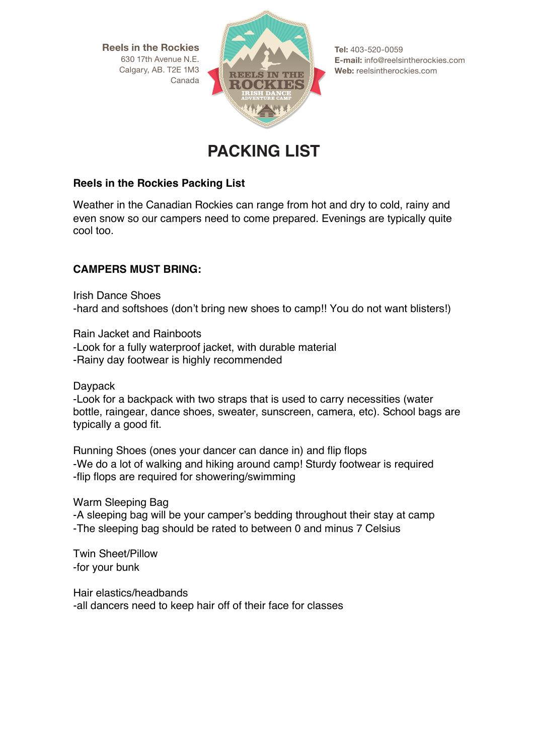**Reels in the Rockies** 630 17th Avenue N.E. Calgary, AB. T2E 1M3 Canada



**Tel:** 403-520-0059 **E-mail:** info@reelsintherockies.com **Web:** reelsintherockies.com

# **PACKING LIST**

### **Reels in the Rockies Packing List**

Weather in the Canadian Rockies can range from hot and dry to cold, rainy and even snow so our campers need to come prepared. Evenings are typically quite cool too.

# **CAMPERS MUST BRING:**

Irish Dance Shoes -hard and softshoes (don't bring new shoes to camp!! You do not want blisters!)

Rain Jacket and Rainboots -Look for a fully waterproof jacket, with durable material -Rainy day footwear is highly recommended

Daypack

-Look for a backpack with two straps that is used to carry necessities (water bottle, raingear, dance shoes, sweater, sunscreen, camera, etc). School bags are typically a good fit.

Running Shoes (ones your dancer can dance in) and flip flops -We do a lot of walking and hiking around camp! Sturdy footwear is required -flip flops are required for showering/swimming

Warm Sleeping Bag

-A sleeping bag will be your camper's bedding throughout their stay at camp -The sleeping bag should be rated to between 0 and minus 7 Celsius

Twin Sheet/Pillow -for your bunk

Hair elastics/headbands -all dancers need to keep hair off of their face for classes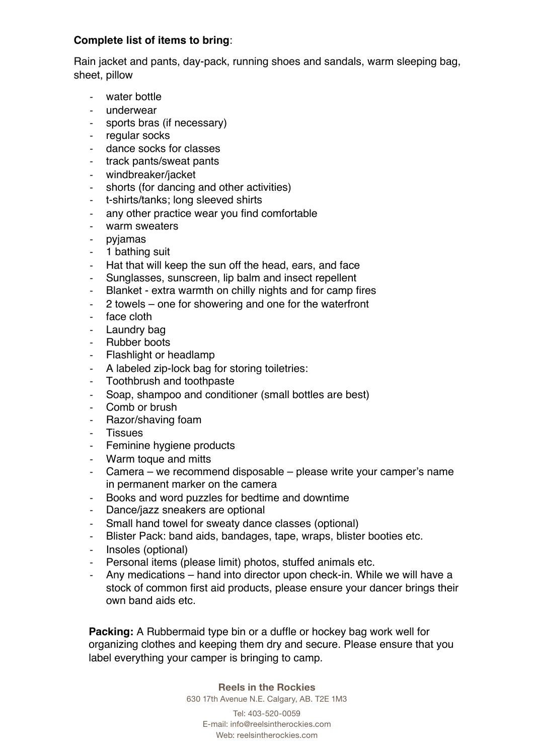## **Complete list of items to bring**:

Rain jacket and pants, day-pack, running shoes and sandals, warm sleeping bag, sheet, pillow

- -‐ water bottle
- underwear
- sports bras (if necessary)
- regular socks
- -‐ dance socks for classes
- track pants/sweat pants
- windbreaker/jacket
- shorts (for dancing and other activities)
- t-shirts/tanks; long sleeved shirts
- any other practice wear you find comfortable
- warm sweaters
- pyjamas
- 1 bathing suit
- Hat that will keep the sun off the head, ears, and face
- Sunglasses, sunscreen, lip balm and insect repellent
- Blanket extra warmth on chilly nights and for camp fires
- 2 towels one for showering and one for the waterfront
- face cloth
- -‐ Laundry bag
- Rubber boots
- Flashlight or headlamp
- A labeled zip-lock bag for storing toiletries:
- Toothbrush and toothpaste
- Soap, shampoo and conditioner (small bottles are best)
- Comb or brush
- -‐ Razor/shaving foam
- **Tissues**
- -‐ Feminine hygiene products
- Warm toque and mitts
- Camera we recommend disposable please write your camper's name in permanent marker on the camera
- Books and word puzzles for bedtime and downtime
- Dance/jazz sneakers are optional
- Small hand towel for sweaty dance classes (optional)<br>- Blister Pack: band aids bandages tape wraps bliste
- Blister Pack: band aids, bandages, tape, wraps, blister booties etc.
- Insoles (optional)
- Personal items (please limit) photos, stuffed animals etc.
- Any medications hand into director upon check-in. While we will have a stock of common first aid products, please ensure your dancer brings their own band aids etc.

**Packing:** A Rubbermaid type bin or a duffle or hockey bag work well for organizing clothes and keeping them dry and secure. Please ensure that you label everything your camper is bringing to camp.

> **Reels in the Rockies** 630 17th Avenue N.E. Calgary, AB. T2E 1M3

Tel: 403-520-0059 E-mail: info@reelsintherockies.com Web: reelsintherockies.com